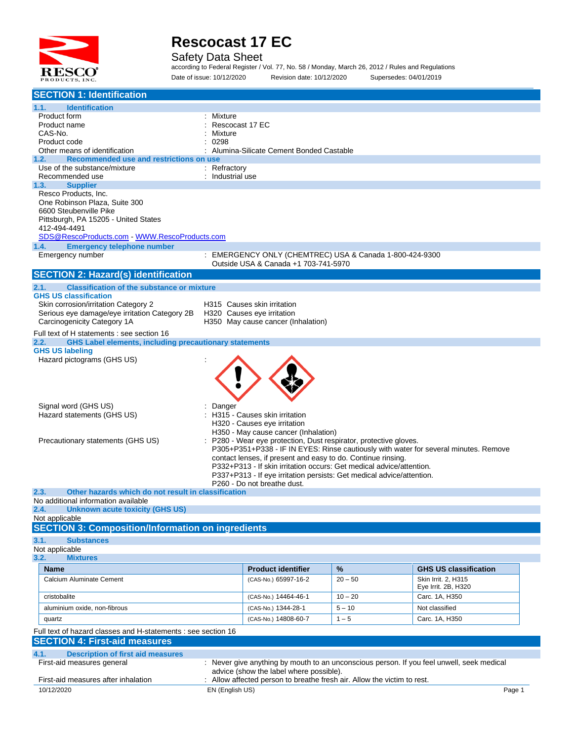

Safety Data Sheet

according to Federal Register / Vol. 77, No. 58 / Monday, March 26, 2012 / Rules and Regulations Date of issue: 10/12/2020 Revision date: 10/12/2020 Supersedes: 04/01/2019

| <b>SECTION 1: Identification</b>                                                                      |                            |                                                                                                                                               |           |                                                                                           |        |
|-------------------------------------------------------------------------------------------------------|----------------------------|-----------------------------------------------------------------------------------------------------------------------------------------------|-----------|-------------------------------------------------------------------------------------------|--------|
| 1.1.<br><b>Identification</b>                                                                         |                            |                                                                                                                                               |           |                                                                                           |        |
| Product form                                                                                          | Mixture                    |                                                                                                                                               |           |                                                                                           |        |
| Product name<br>CAS-No.                                                                               | Rescocast 17 EC<br>Mixture |                                                                                                                                               |           |                                                                                           |        |
| Product code                                                                                          | 0298                       |                                                                                                                                               |           |                                                                                           |        |
| Other means of identification                                                                         |                            | Alumina-Silicate Cement Bonded Castable                                                                                                       |           |                                                                                           |        |
| Recommended use and restrictions on use<br>1.2.<br>Use of the substance/mixture                       | : Refractory               |                                                                                                                                               |           |                                                                                           |        |
| Recommended use                                                                                       | : Industrial use           |                                                                                                                                               |           |                                                                                           |        |
| 1.3.<br><b>Supplier</b>                                                                               |                            |                                                                                                                                               |           |                                                                                           |        |
| Resco Products, Inc.<br>One Robinson Plaza, Suite 300                                                 |                            |                                                                                                                                               |           |                                                                                           |        |
| 6600 Steubenville Pike                                                                                |                            |                                                                                                                                               |           |                                                                                           |        |
| Pittsburgh, PA 15205 - United States                                                                  |                            |                                                                                                                                               |           |                                                                                           |        |
| 412-494-4491                                                                                          |                            |                                                                                                                                               |           |                                                                                           |        |
| SDS@RescoProducts.com WWW.RescoProducts.com<br><b>Emergency telephone number</b><br>1.4.              |                            |                                                                                                                                               |           |                                                                                           |        |
| Emergency number                                                                                      | ÷                          | EMERGENCY ONLY (CHEMTREC) USA & Canada 1-800-424-9300                                                                                         |           |                                                                                           |        |
|                                                                                                       |                            | Outside USA & Canada +1 703-741-5970                                                                                                          |           |                                                                                           |        |
| <b>SECTION 2: Hazard(s) identification</b>                                                            |                            |                                                                                                                                               |           |                                                                                           |        |
| 2.1.<br><b>Classification of the substance or mixture</b>                                             |                            |                                                                                                                                               |           |                                                                                           |        |
| <b>GHS US classification</b><br>Skin corrosion/irritation Category 2                                  |                            | H315 Causes skin irritation                                                                                                                   |           |                                                                                           |        |
| Serious eye damage/eye irritation Category 2B                                                         |                            | H320 Causes eye irritation                                                                                                                    |           |                                                                                           |        |
| Carcinogenicity Category 1A                                                                           |                            | H350 May cause cancer (Inhalation)                                                                                                            |           |                                                                                           |        |
| Full text of H statements : see section 16                                                            |                            |                                                                                                                                               |           |                                                                                           |        |
| <b>GHS Label elements, including precautionary statements</b><br>2.2.<br><b>GHS US labeling</b>       |                            |                                                                                                                                               |           |                                                                                           |        |
| Hazard pictograms (GHS US)                                                                            |                            |                                                                                                                                               |           |                                                                                           |        |
|                                                                                                       |                            |                                                                                                                                               |           |                                                                                           |        |
|                                                                                                       |                            |                                                                                                                                               |           |                                                                                           |        |
|                                                                                                       |                            |                                                                                                                                               |           |                                                                                           |        |
| Signal word (GHS US)                                                                                  | Danger                     |                                                                                                                                               |           |                                                                                           |        |
| Hazard statements (GHS US)                                                                            |                            | H315 - Causes skin irritation                                                                                                                 |           |                                                                                           |        |
|                                                                                                       |                            | H320 - Causes eye irritation                                                                                                                  |           |                                                                                           |        |
| Precautionary statements (GHS US)                                                                     |                            | H350 - May cause cancer (Inhalation)<br>P280 - Wear eye protection, Dust respirator, protective gloves.                                       |           |                                                                                           |        |
|                                                                                                       |                            |                                                                                                                                               |           | P305+P351+P338 - IF IN EYES: Rinse cautiously with water for several minutes. Remove      |        |
|                                                                                                       |                            | contact lenses, if present and easy to do. Continue rinsing.                                                                                  |           |                                                                                           |        |
|                                                                                                       |                            | P332+P313 - If skin irritation occurs: Get medical advice/attention.<br>P337+P313 - If eye irritation persists: Get medical advice/attention. |           |                                                                                           |        |
|                                                                                                       |                            | P260 - Do not breathe dust.                                                                                                                   |           |                                                                                           |        |
| 2.3.<br>Other hazards which do not result in classification<br>No additional information available    |                            |                                                                                                                                               |           |                                                                                           |        |
| <b>Unknown acute toxicity (GHS US)</b><br>2.4.                                                        |                            |                                                                                                                                               |           |                                                                                           |        |
| Not applicable                                                                                        |                            |                                                                                                                                               |           |                                                                                           |        |
| <b>SECTION 3: Composition/Information on ingredients</b>                                              |                            |                                                                                                                                               |           |                                                                                           |        |
| 3.1.<br><b>Substances</b>                                                                             |                            |                                                                                                                                               |           |                                                                                           |        |
| Not applicable<br>3.2.<br><b>Mixtures</b>                                                             |                            |                                                                                                                                               |           |                                                                                           |        |
| <b>Name</b>                                                                                           |                            | <b>Product identifier</b>                                                                                                                     | %         | <b>GHS US classification</b>                                                              |        |
| Calcium Aluminate Cement                                                                              |                            | (CAS-No.) 65997-16-2                                                                                                                          | $20 - 50$ | Skin Irrit. 2, H315                                                                       |        |
|                                                                                                       |                            |                                                                                                                                               |           | Eye Irrit. 2B, H320                                                                       |        |
| cristobalite                                                                                          |                            | (CAS-No.) 14464-46-1                                                                                                                          | $10 - 20$ | Carc. 1A, H350                                                                            |        |
| aluminium oxide, non-fibrous                                                                          |                            | (CAS-No.) 1344-28-1                                                                                                                           | $5 - 10$  | Not classified                                                                            |        |
| quartz                                                                                                |                            | (CAS-No.) 14808-60-7                                                                                                                          | $1 - 5$   | Carc. 1A, H350                                                                            |        |
| Full text of hazard classes and H-statements : see section 16<br><b>SECTION 4: First-aid measures</b> |                            |                                                                                                                                               |           |                                                                                           |        |
|                                                                                                       |                            |                                                                                                                                               |           |                                                                                           |        |
| 4.1.<br><b>Description of first aid measures</b><br>First-aid measures general                        |                            |                                                                                                                                               |           | : Never give anything by mouth to an unconscious person. If you feel unwell, seek medical |        |
|                                                                                                       |                            | advice (show the label where possible).                                                                                                       |           |                                                                                           |        |
| First-aid measures after inhalation                                                                   |                            | Allow affected person to breathe fresh air. Allow the victim to rest.                                                                         |           |                                                                                           |        |
| 10/12/2020                                                                                            | EN (English US)            |                                                                                                                                               |           |                                                                                           | Page 1 |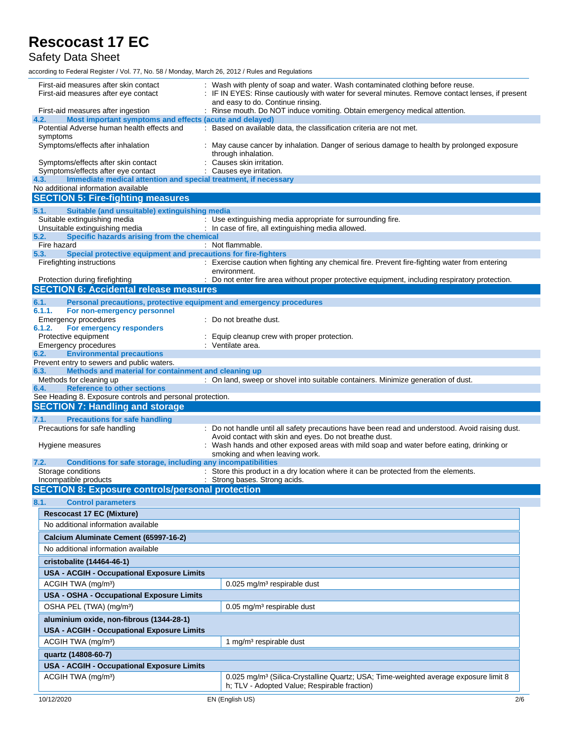Safety Data Sheet

| First-aid measures after skin contact<br>First-aid measures after eye contact                                 | : Wash with plenty of soap and water. Wash contaminated clothing before reuse.<br>: IF IN EYES: Rinse cautiously with water for several minutes. Remove contact lenses, if present<br>and easy to do. Continue rinsing. |
|---------------------------------------------------------------------------------------------------------------|-------------------------------------------------------------------------------------------------------------------------------------------------------------------------------------------------------------------------|
| First-aid measures after ingestion                                                                            | : Rinse mouth. Do NOT induce vomiting. Obtain emergency medical attention.                                                                                                                                              |
| Most important symptoms and effects (acute and delayed)<br>4.2.                                               |                                                                                                                                                                                                                         |
| Potential Adverse human health effects and                                                                    | : Based on available data, the classification criteria are not met.                                                                                                                                                     |
| symptoms<br>Symptoms/effects after inhalation                                                                 | May cause cancer by inhalation. Danger of serious damage to health by prolonged exposure<br>through inhalation.                                                                                                         |
| Symptoms/effects after skin contact                                                                           | Causes skin irritation.                                                                                                                                                                                                 |
| Symptoms/effects after eye contact<br>Immediate medical attention and special treatment, if necessary<br>4.3. | : Causes eye irritation.                                                                                                                                                                                                |
| No additional information available                                                                           |                                                                                                                                                                                                                         |
| <b>SECTION 5: Fire-fighting measures</b>                                                                      |                                                                                                                                                                                                                         |
| Suitable (and unsuitable) extinguishing media<br>5.1.                                                         |                                                                                                                                                                                                                         |
| Suitable extinguishing media                                                                                  | : Use extinguishing media appropriate for surrounding fire.                                                                                                                                                             |
| Unsuitable extinguishing media                                                                                | : In case of fire, all extinguishing media allowed.                                                                                                                                                                     |
| Specific hazards arising from the chemical<br>5.2.                                                            |                                                                                                                                                                                                                         |
| Fire hazard<br>Special protective equipment and precautions for fire-fighters<br>5.3.                         | : Not flammable.                                                                                                                                                                                                        |
| Firefighting instructions                                                                                     | : Exercise caution when fighting any chemical fire. Prevent fire-fighting water from entering                                                                                                                           |
|                                                                                                               | environment.                                                                                                                                                                                                            |
| Protection during firefighting                                                                                | : Do not enter fire area without proper protective equipment, including respiratory protection.                                                                                                                         |
| <b>SECTION 6: Accidental release measures</b>                                                                 |                                                                                                                                                                                                                         |
| 6.1.<br>Personal precautions, protective equipment and emergency procedures                                   |                                                                                                                                                                                                                         |
| 6.1.1.<br>For non-emergency personnel                                                                         |                                                                                                                                                                                                                         |
| Emergency procedures<br>6.1.2.<br>For emergency responders                                                    | Do not breathe dust.                                                                                                                                                                                                    |
| Protective equipment                                                                                          | Equip cleanup crew with proper protection.                                                                                                                                                                              |
| Emergency procedures                                                                                          | : Ventilate area.                                                                                                                                                                                                       |
| <b>Environmental precautions</b><br>6.2.                                                                      |                                                                                                                                                                                                                         |
| Prevent entry to sewers and public waters.                                                                    |                                                                                                                                                                                                                         |
| Methods and material for containment and cleaning up<br>6.3.<br>Methods for cleaning up                       | : On land, sweep or shovel into suitable containers. Minimize generation of dust.                                                                                                                                       |
| <b>Reference to other sections</b><br>6.4.                                                                    |                                                                                                                                                                                                                         |
|                                                                                                               |                                                                                                                                                                                                                         |
| See Heading 8. Exposure controls and personal protection.                                                     |                                                                                                                                                                                                                         |
| <b>SECTION 7: Handling and storage</b>                                                                        |                                                                                                                                                                                                                         |
| 7.1.<br><b>Precautions for safe handling</b>                                                                  |                                                                                                                                                                                                                         |
| Precautions for safe handling                                                                                 | : Do not handle until all safety precautions have been read and understood. Avoid raising dust.                                                                                                                         |
|                                                                                                               | Avoid contact with skin and eyes. Do not breathe dust.                                                                                                                                                                  |
| Hygiene measures                                                                                              | Wash hands and other exposed areas with mild soap and water before eating, drinking or                                                                                                                                  |
| Conditions for safe storage, including any incompatibilities<br>7.2.                                          | smoking and when leaving work.                                                                                                                                                                                          |
| Storage conditions                                                                                            | : Store this product in a dry location where it can be protected from the elements.                                                                                                                                     |
| Incompatible products                                                                                         | : Strong bases. Strong acids.                                                                                                                                                                                           |
| <b>SECTION 8: Exposure controls/personal protection</b>                                                       |                                                                                                                                                                                                                         |
| 8.1.<br><b>Control parameters</b>                                                                             |                                                                                                                                                                                                                         |
| <b>Rescocast 17 EC (Mixture)</b>                                                                              |                                                                                                                                                                                                                         |
| No additional information available                                                                           |                                                                                                                                                                                                                         |
| Calcium Aluminate Cement (65997-16-2)                                                                         |                                                                                                                                                                                                                         |
| No additional information available                                                                           |                                                                                                                                                                                                                         |
|                                                                                                               |                                                                                                                                                                                                                         |
| cristobalite (14464-46-1)                                                                                     |                                                                                                                                                                                                                         |
| <b>USA - ACGIH - Occupational Exposure Limits</b>                                                             |                                                                                                                                                                                                                         |
| ACGIH TWA (mg/m <sup>3</sup> )                                                                                | $0.025$ mg/m <sup>3</sup> respirable dust                                                                                                                                                                               |
| <b>USA - OSHA - Occupational Exposure Limits</b>                                                              |                                                                                                                                                                                                                         |
| OSHA PEL (TWA) (mg/m <sup>3</sup> )                                                                           | 0.05 mg/m <sup>3</sup> respirable dust                                                                                                                                                                                  |
| aluminium oxide, non-fibrous (1344-28-1)                                                                      |                                                                                                                                                                                                                         |
| <b>USA - ACGIH - Occupational Exposure Limits</b>                                                             |                                                                                                                                                                                                                         |
| ACGIH TWA (mg/m <sup>3</sup> )                                                                                | 1 mg/m <sup>3</sup> respirable dust                                                                                                                                                                                     |
| quartz (14808-60-7)                                                                                           |                                                                                                                                                                                                                         |
| <b>USA - ACGIH - Occupational Exposure Limits</b>                                                             |                                                                                                                                                                                                                         |
|                                                                                                               |                                                                                                                                                                                                                         |
| ACGIH TWA (mg/m <sup>3</sup> )                                                                                | 0.025 mg/m <sup>3</sup> (Silica-Crystalline Quartz; USA; Time-weighted average exposure limit 8<br>h; TLV - Adopted Value; Respirable fraction)                                                                         |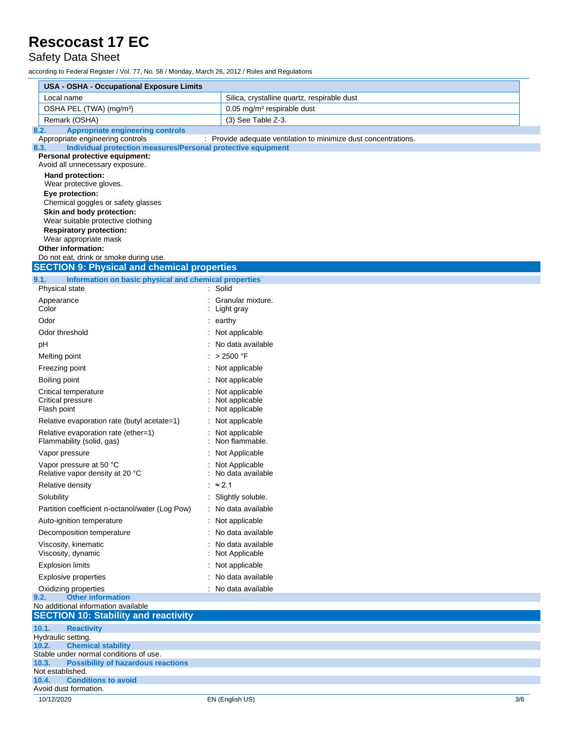Safety Data Sheet

|      | <b>USA - OSHA - Occupational Exposure Limits</b>                                             |                                                                 |     |  |  |
|------|----------------------------------------------------------------------------------------------|-----------------------------------------------------------------|-----|--|--|
|      | Local name                                                                                   | Silica, crystalline quartz, respirable dust                     |     |  |  |
|      | OSHA PEL (TWA) (mg/m <sup>3</sup> )                                                          | 0.05 mg/m <sup>3</sup> respirable dust                          |     |  |  |
|      | Remark (OSHA)                                                                                | (3) See Table Z-3.                                              |     |  |  |
| 8.2. | <b>Appropriate engineering controls</b><br>Appropriate engineering controls                  | : Provide adequate ventilation to minimize dust concentrations. |     |  |  |
| 8.3. | Individual protection measures/Personal protective equipment                                 |                                                                 |     |  |  |
|      | Personal protective equipment:<br>Avoid all unnecessary exposure.                            |                                                                 |     |  |  |
|      | Hand protection:                                                                             |                                                                 |     |  |  |
|      | Wear protective gloves.                                                                      |                                                                 |     |  |  |
|      | Eye protection:                                                                              |                                                                 |     |  |  |
|      | Chemical goggles or safety glasses<br>Skin and body protection:                              |                                                                 |     |  |  |
|      | Wear suitable protective clothing                                                            |                                                                 |     |  |  |
|      | <b>Respiratory protection:</b>                                                               |                                                                 |     |  |  |
|      | Wear appropriate mask<br><b>Other information:</b>                                           |                                                                 |     |  |  |
|      | Do not eat, drink or smoke during use.                                                       |                                                                 |     |  |  |
|      | <b>SECTION 9: Physical and chemical properties</b>                                           |                                                                 |     |  |  |
| 9.1. | Information on basic physical and chemical properties                                        |                                                                 |     |  |  |
|      | Physical state                                                                               | : Solid                                                         |     |  |  |
|      | Appearance<br>Color                                                                          | Granular mixture.<br>Light gray                                 |     |  |  |
|      | Odor                                                                                         | $:$ earthy                                                      |     |  |  |
|      | Odor threshold                                                                               | : Not applicable                                                |     |  |  |
|      | pH                                                                                           | : No data available                                             |     |  |  |
|      | Melting point                                                                                | : > 2500 °F                                                     |     |  |  |
|      | Freezing point                                                                               | : Not applicable                                                |     |  |  |
|      | Boiling point                                                                                | : Not applicable                                                |     |  |  |
|      | Critical temperature                                                                         | : Not applicable                                                |     |  |  |
|      | Critical pressure                                                                            | : Not applicable                                                |     |  |  |
|      | Flash point                                                                                  | Not applicable                                                  |     |  |  |
|      | Relative evaporation rate (butyl acetate=1)                                                  | : Not applicable                                                |     |  |  |
|      | Relative evaporation rate (ether=1)<br>Flammability (solid, gas)                             | : Not applicable<br>Non flammable.                              |     |  |  |
|      | Vapor pressure                                                                               | : Not Applicable                                                |     |  |  |
|      | Vapor pressure at 50 °C<br>Relative vapor density at 20 °C                                   | : Not Applicable<br>: No data available                         |     |  |  |
|      | Relative density                                                                             | : $\approx 2.1$                                                 |     |  |  |
|      | Solubility                                                                                   | : Slightly soluble.                                             |     |  |  |
|      | Partition coefficient n-octanol/water (Log Pow)                                              | : No data available                                             |     |  |  |
|      | Auto-ignition temperature                                                                    | Not applicable                                                  |     |  |  |
|      | Decomposition temperature                                                                    | No data available                                               |     |  |  |
|      | Viscosity, kinematic<br>Viscosity, dynamic                                                   | No data available                                               |     |  |  |
|      | <b>Explosion limits</b>                                                                      | Not Applicable                                                  |     |  |  |
|      | <b>Explosive properties</b>                                                                  | : Not applicable<br>: No data available                         |     |  |  |
|      | Oxidizing properties                                                                         | : No data available                                             |     |  |  |
| 9.2. | <b>Other information</b>                                                                     |                                                                 |     |  |  |
|      | No additional information available                                                          |                                                                 |     |  |  |
|      | <b>SECTION 10: Stability and reactivity</b>                                                  |                                                                 |     |  |  |
|      | 10.1.<br><b>Reactivity</b><br>Hydraulic setting.                                             |                                                                 |     |  |  |
|      | <b>Chemical stability</b><br>10.2.                                                           |                                                                 |     |  |  |
|      | Stable under normal conditions of use.<br>10.3.<br><b>Possibility of hazardous reactions</b> |                                                                 |     |  |  |
|      | Not established.                                                                             |                                                                 |     |  |  |
|      | <b>Conditions to avoid</b><br>10.4.                                                          |                                                                 |     |  |  |
|      | Avoid dust formation.<br>10/12/2020                                                          | EN (English US)                                                 | 3/6 |  |  |
|      |                                                                                              |                                                                 |     |  |  |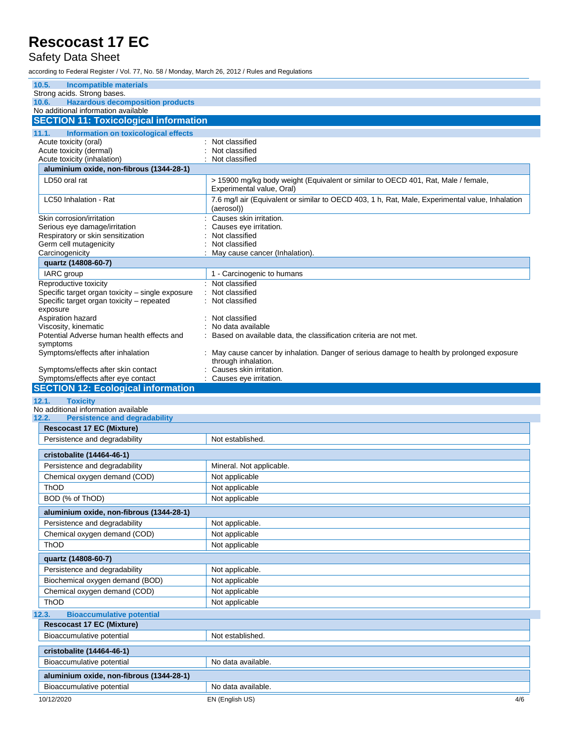### Safety Data Sheet

| 10.5.<br><b>Incompatible materials</b>                                                                    |                                                                                                                 |
|-----------------------------------------------------------------------------------------------------------|-----------------------------------------------------------------------------------------------------------------|
| Strong acids. Strong bases.                                                                               |                                                                                                                 |
| <b>Hazardous decomposition products</b><br>10.6.<br>No additional information available                   |                                                                                                                 |
| <b>SECTION 11: Toxicological information</b>                                                              |                                                                                                                 |
|                                                                                                           |                                                                                                                 |
| Information on toxicological effects<br>11.1.<br>Acute toxicity (oral)                                    | : Not classified                                                                                                |
| Acute toxicity (dermal)                                                                                   | Not classified                                                                                                  |
| Acute toxicity (inhalation)                                                                               | Not classified                                                                                                  |
| aluminium oxide, non-fibrous (1344-28-1)                                                                  |                                                                                                                 |
| LD50 oral rat                                                                                             | > 15900 mg/kg body weight (Equivalent or similar to OECD 401, Rat, Male / female,<br>Experimental value, Oral)  |
| LC50 Inhalation - Rat                                                                                     | 7.6 mg/l air (Equivalent or similar to OECD 403, 1 h, Rat, Male, Experimental value, Inhalation<br>(aerosol))   |
| Skin corrosion/irritation                                                                                 | Causes skin irritation.                                                                                         |
| Serious eye damage/irritation                                                                             | Causes eye irritation.                                                                                          |
| Respiratory or skin sensitization<br>Germ cell mutagenicity                                               | Not classified<br>Not classified                                                                                |
| Carcinogenicity                                                                                           | May cause cancer (Inhalation).                                                                                  |
| quartz (14808-60-7)                                                                                       |                                                                                                                 |
| IARC group                                                                                                | 1 - Carcinogenic to humans                                                                                      |
| Reproductive toxicity                                                                                     | : Not classified                                                                                                |
| Specific target organ toxicity - single exposure<br>Specific target organ toxicity - repeated<br>exposure | Not classified<br>Not classified                                                                                |
| Aspiration hazard                                                                                         | : Not classified                                                                                                |
| Viscosity, kinematic                                                                                      | No data available                                                                                               |
| Potential Adverse human health effects and                                                                | Based on available data, the classification criteria are not met.                                               |
| symptoms<br>Symptoms/effects after inhalation                                                             | May cause cancer by inhalation. Danger of serious damage to health by prolonged exposure<br>through inhalation. |
| Symptoms/effects after skin contact                                                                       | Causes skin irritation.                                                                                         |
| Symptoms/effects after eye contact                                                                        | Causes eye irritation.                                                                                          |
| <b>SECTION 12: Ecological information</b>                                                                 |                                                                                                                 |
|                                                                                                           |                                                                                                                 |
| 12.1.<br><b>Toxicity</b>                                                                                  |                                                                                                                 |
| No additional information available                                                                       |                                                                                                                 |
| 12.2.<br><b>Persistence and degradability</b>                                                             |                                                                                                                 |
| <b>Rescocast 17 EC (Mixture)</b>                                                                          |                                                                                                                 |
| Persistence and degradability                                                                             | Not established.                                                                                                |
| cristobalite (14464-46-1)                                                                                 |                                                                                                                 |
| Persistence and degradability                                                                             | Mineral. Not applicable.                                                                                        |
| Chemical oxygen demand (COD)                                                                              | Not applicable                                                                                                  |
| ThOD                                                                                                      | Not applicable                                                                                                  |
| BOD (% of ThOD)                                                                                           | Not applicable                                                                                                  |
| aluminium oxide, non-fibrous (1344-28-1)                                                                  |                                                                                                                 |
| Persistence and degradability                                                                             | Not applicable.                                                                                                 |
| Chemical oxygen demand (COD)                                                                              | Not applicable                                                                                                  |
| ThOD                                                                                                      | Not applicable                                                                                                  |
| quartz (14808-60-7)                                                                                       |                                                                                                                 |
| Persistence and degradability                                                                             | Not applicable.                                                                                                 |
| Biochemical oxygen demand (BOD)                                                                           | Not applicable                                                                                                  |
| Chemical oxygen demand (COD)                                                                              | Not applicable                                                                                                  |
| ThOD                                                                                                      | Not applicable                                                                                                  |
| <b>Bioaccumulative potential</b>                                                                          |                                                                                                                 |
| <b>Rescocast 17 EC (Mixture)</b>                                                                          |                                                                                                                 |
| Bioaccumulative potential                                                                                 | Not established.                                                                                                |
| cristobalite (14464-46-1)                                                                                 |                                                                                                                 |
| 12.3.<br>Bioaccumulative potential                                                                        | No data available.                                                                                              |
| aluminium oxide, non-fibrous (1344-28-1)                                                                  |                                                                                                                 |
| Bioaccumulative potential<br>10/12/2020                                                                   | No data available.<br>EN (English US)<br>4/6                                                                    |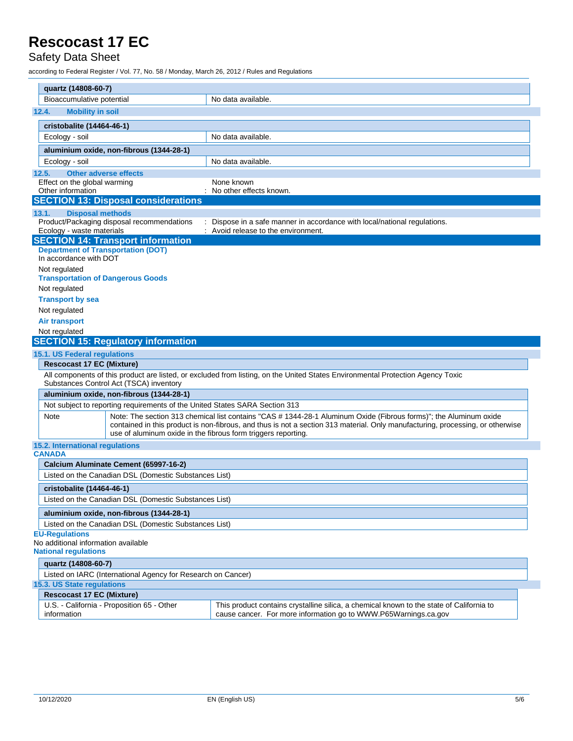### Safety Data Sheet

| quartz (14808-60-7)                                                                                                                                                                                                                                                                                                          |                                                              |                                                                                                                                                             |  |
|------------------------------------------------------------------------------------------------------------------------------------------------------------------------------------------------------------------------------------------------------------------------------------------------------------------------------|--------------------------------------------------------------|-------------------------------------------------------------------------------------------------------------------------------------------------------------|--|
| Bioaccumulative potential<br>No data available.                                                                                                                                                                                                                                                                              |                                                              |                                                                                                                                                             |  |
| <b>Mobility in soil</b><br>12.4.                                                                                                                                                                                                                                                                                             |                                                              |                                                                                                                                                             |  |
| cristobalite (14464-46-1)                                                                                                                                                                                                                                                                                                    |                                                              |                                                                                                                                                             |  |
|                                                                                                                                                                                                                                                                                                                              |                                                              | No data available.                                                                                                                                          |  |
| Ecology - soil                                                                                                                                                                                                                                                                                                               |                                                              |                                                                                                                                                             |  |
| aluminium oxide, non-fibrous (1344-28-1)                                                                                                                                                                                                                                                                                     |                                                              |                                                                                                                                                             |  |
| Ecology - soil                                                                                                                                                                                                                                                                                                               |                                                              | No data available.                                                                                                                                          |  |
| <b>Other adverse effects</b><br>12.5.                                                                                                                                                                                                                                                                                        |                                                              |                                                                                                                                                             |  |
| Effect on the global warming<br>Other information                                                                                                                                                                                                                                                                            |                                                              | None known<br>No other effects known.                                                                                                                       |  |
|                                                                                                                                                                                                                                                                                                                              | <b>SECTION 13: Disposal considerations</b>                   |                                                                                                                                                             |  |
| 13.1.<br><b>Disposal methods</b>                                                                                                                                                                                                                                                                                             |                                                              |                                                                                                                                                             |  |
|                                                                                                                                                                                                                                                                                                                              | Product/Packaging disposal recommendations                   | : Dispose in a safe manner in accordance with local/national regulations.                                                                                   |  |
| Ecology - waste materials                                                                                                                                                                                                                                                                                                    |                                                              | : Avoid release to the environment.                                                                                                                         |  |
|                                                                                                                                                                                                                                                                                                                              | <b>SECTION 14: Transport information</b>                     |                                                                                                                                                             |  |
| <b>Department of Transportation (DOT)</b><br>In accordance with DOT                                                                                                                                                                                                                                                          |                                                              |                                                                                                                                                             |  |
| Not regulated                                                                                                                                                                                                                                                                                                                |                                                              |                                                                                                                                                             |  |
| <b>Transportation of Dangerous Goods</b>                                                                                                                                                                                                                                                                                     |                                                              |                                                                                                                                                             |  |
| Not regulated                                                                                                                                                                                                                                                                                                                |                                                              |                                                                                                                                                             |  |
| <b>Transport by sea</b>                                                                                                                                                                                                                                                                                                      |                                                              |                                                                                                                                                             |  |
| Not regulated                                                                                                                                                                                                                                                                                                                |                                                              |                                                                                                                                                             |  |
| <b>Air transport</b>                                                                                                                                                                                                                                                                                                         |                                                              |                                                                                                                                                             |  |
| Not regulated                                                                                                                                                                                                                                                                                                                |                                                              |                                                                                                                                                             |  |
|                                                                                                                                                                                                                                                                                                                              | <b>SECTION 15: Regulatory information</b>                    |                                                                                                                                                             |  |
| 15.1. US Federal regulations                                                                                                                                                                                                                                                                                                 |                                                              |                                                                                                                                                             |  |
| <b>Rescocast 17 EC (Mixture)</b>                                                                                                                                                                                                                                                                                             |                                                              |                                                                                                                                                             |  |
| All components of this product are listed, or excluded from listing, on the United States Environmental Protection Agency Toxic<br>Substances Control Act (TSCA) inventory                                                                                                                                                   |                                                              |                                                                                                                                                             |  |
| aluminium oxide, non-fibrous (1344-28-1)                                                                                                                                                                                                                                                                                     |                                                              |                                                                                                                                                             |  |
| Not subject to reporting requirements of the United States SARA Section 313                                                                                                                                                                                                                                                  |                                                              |                                                                                                                                                             |  |
| Note: The section 313 chemical list contains "CAS # 1344-28-1 Aluminum Oxide (Fibrous forms)"; the Aluminum oxide<br>Note<br>contained in this product is non-fibrous, and thus is not a section 313 material. Only manufacturing, processing, or otherwise<br>use of aluminum oxide in the fibrous form triggers reporting. |                                                              |                                                                                                                                                             |  |
| 15.2. International regulations                                                                                                                                                                                                                                                                                              |                                                              |                                                                                                                                                             |  |
| <b>CANADA</b>                                                                                                                                                                                                                                                                                                                |                                                              |                                                                                                                                                             |  |
| Calcium Aluminate Cement (65997-16-2)                                                                                                                                                                                                                                                                                        |                                                              |                                                                                                                                                             |  |
| Listed on the Canadian DSL (Domestic Substances List)                                                                                                                                                                                                                                                                        |                                                              |                                                                                                                                                             |  |
| cristobalite (14464-46-1)                                                                                                                                                                                                                                                                                                    |                                                              |                                                                                                                                                             |  |
| Listed on the Canadian DSL (Domestic Substances List)                                                                                                                                                                                                                                                                        |                                                              |                                                                                                                                                             |  |
| aluminium oxide, non-fibrous (1344-28-1)                                                                                                                                                                                                                                                                                     |                                                              |                                                                                                                                                             |  |
| Listed on the Canadian DSL (Domestic Substances List)                                                                                                                                                                                                                                                                        |                                                              |                                                                                                                                                             |  |
| <b>EU-Regulations</b><br>No additional information available<br><b>National requlations</b>                                                                                                                                                                                                                                  |                                                              |                                                                                                                                                             |  |
| quartz (14808-60-7)                                                                                                                                                                                                                                                                                                          |                                                              |                                                                                                                                                             |  |
|                                                                                                                                                                                                                                                                                                                              | Listed on IARC (International Agency for Research on Cancer) |                                                                                                                                                             |  |
| 15.3. US State regulations                                                                                                                                                                                                                                                                                                   |                                                              |                                                                                                                                                             |  |
| <b>Rescocast 17 EC (Mixture)</b>                                                                                                                                                                                                                                                                                             |                                                              |                                                                                                                                                             |  |
| information                                                                                                                                                                                                                                                                                                                  | U.S. - California - Proposition 65 - Other                   | This product contains crystalline silica, a chemical known to the state of California to<br>cause cancer. For more information go to WWW.P65Warnings.ca.gov |  |
|                                                                                                                                                                                                                                                                                                                              |                                                              |                                                                                                                                                             |  |